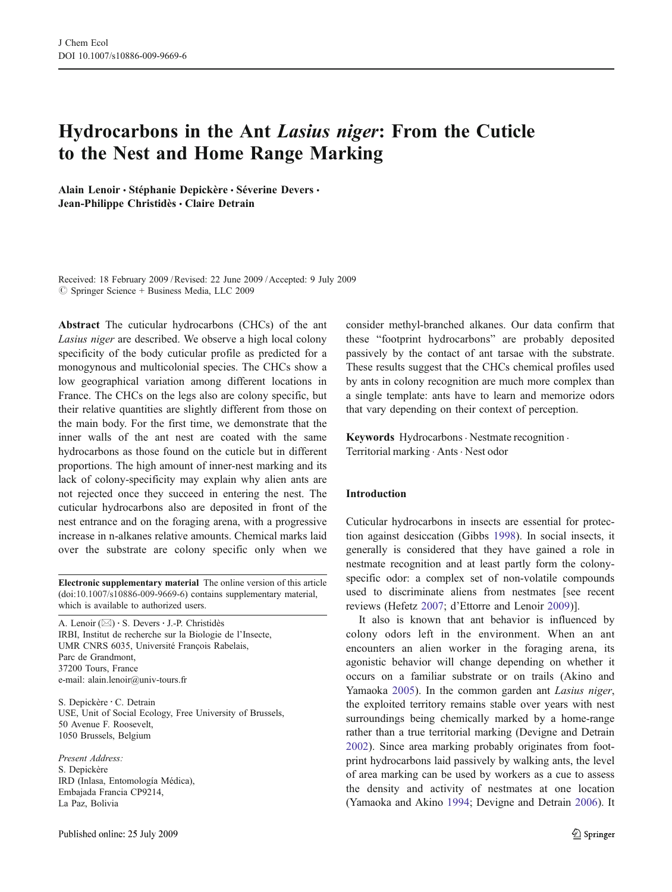# Hydrocarbons in the Ant Lasius niger: From the Cuticle to the Nest and Home Range Marking

Alain Lenoir • Stéphanie Depickère • Séverine Devers • Jean-Philippe Christidès · Claire Detrain

Received: 18 February 2009 /Revised: 22 June 2009 /Accepted: 9 July 2009  $\circledcirc$  Springer Science + Business Media, LLC 2009

Abstract The cuticular hydrocarbons (CHCs) of the ant Lasius niger are described. We observe a high local colony specificity of the body cuticular profile as predicted for a monogynous and multicolonial species. The CHCs show a low geographical variation among different locations in France. The CHCs on the legs also are colony specific, but their relative quantities are slightly different from those on the main body. For the first time, we demonstrate that the inner walls of the ant nest are coated with the same hydrocarbons as those found on the cuticle but in different proportions. The high amount of inner-nest marking and its lack of colony-specificity may explain why alien ants are not rejected once they succeed in entering the nest. The cuticular hydrocarbons also are deposited in front of the nest entrance and on the foraging arena, with a progressive increase in n-alkanes relative amounts. Chemical marks laid over the substrate are colony specific only when we

Electronic supplementary material The online version of this article (doi[:10.1007/s10886-009-9669-6\)](http://dx.doi.org/10.1007/s10886-009-9669-6) contains supplementary material, which is available to authorized users.

A. Lenoir (⊠) · S. Devers · J.-P. Christidès IRBI, Institut de recherche sur la Biologie de l'Insecte, UMR CNRS 6035, Université François Rabelais, Parc de Grandmont, 37200 Tours, France e-mail: alain.lenoir@univ-tours.fr

S. Depickère : C. Detrain USE, Unit of Social Ecology, Free University of Brussels, 50 Avenue F. Roosevelt, 1050 Brussels, Belgium

Present Address: S. Depickère IRD (Inlasa, Entomología Médica), Embajada Francia CP9214, La Paz, Bolivia

consider methyl-branched alkanes. Our data confirm that these "footprint hydrocarbons" are probably deposited passively by the contact of ant tarsae with the substrate. These results suggest that the CHCs chemical profiles used by ants in colony recognition are much more complex than a single template: ants have to learn and memorize odors that vary depending on their context of perception.

Keywords Hydrocarbons · Nestmate recognition · Territorial marking . Ants. Nest odor

# Introduction

Cuticular hydrocarbons in insects are essential for protection against desiccation (Gibbs [1998](#page-7-0)). In social insects, it generally is considered that they have gained a role in nestmate recognition and at least partly form the colonyspecific odor: a complex set of non-volatile compounds used to discriminate aliens from nestmates [see recent reviews (Hefetz [2007](#page-7-0); d'Ettorre and Lenoir [2009](#page-7-0))].

It also is known that ant behavior is influenced by colony odors left in the environment. When an ant encounters an alien worker in the foraging arena, its agonistic behavior will change depending on whether it occurs on a familiar substrate or on trails (Akino and Yamaoka [2005\)](#page-6-0). In the common garden ant Lasius niger, the exploited territory remains stable over years with nest surroundings being chemically marked by a home-range rather than a true territorial marking (Devigne and Detrain [2002\)](#page-7-0). Since area marking probably originates from footprint hydrocarbons laid passively by walking ants, the level of area marking can be used by workers as a cue to assess the density and activity of nestmates at one location (Yamaoka and Akino [1994](#page-8-0); Devigne and Detrain [2006\)](#page-7-0). It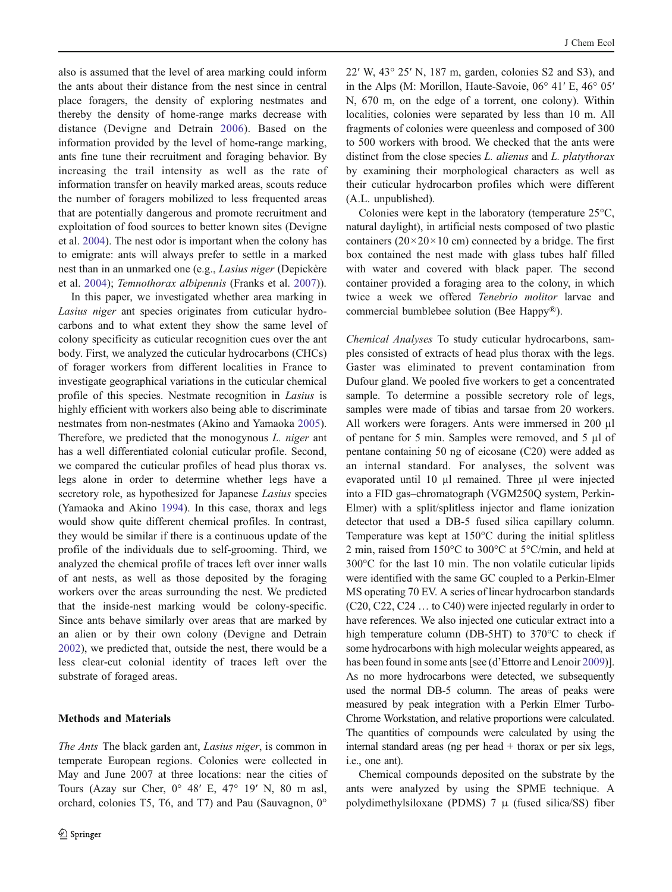also is assumed that the level of area marking could inform the ants about their distance from the nest since in central place foragers, the density of exploring nestmates and thereby the density of home-range marks decrease with distance (Devigne and Detrain [2006](#page-7-0)). Based on the information provided by the level of home-range marking, ants fine tune their recruitment and foraging behavior. By increasing the trail intensity as well as the rate of information transfer on heavily marked areas, scouts reduce the number of foragers mobilized to less frequented areas that are potentially dangerous and promote recruitment and exploitation of food sources to better known sites (Devigne et al. [2004](#page-7-0)). The nest odor is important when the colony has to emigrate: ants will always prefer to settle in a marked nest than in an unmarked one (e.g., Lasius niger (Depickère et al. [2004\)](#page-7-0); Temnothorax albipennis (Franks et al. [2007\)](#page-7-0)).

In this paper, we investigated whether area marking in Lasius niger ant species originates from cuticular hydrocarbons and to what extent they show the same level of colony specificity as cuticular recognition cues over the ant body. First, we analyzed the cuticular hydrocarbons (CHCs) of forager workers from different localities in France to investigate geographical variations in the cuticular chemical profile of this species. Nestmate recognition in Lasius is highly efficient with workers also being able to discriminate nestmates from non-nestmates (Akino and Yamaoka [2005](#page-6-0)). Therefore, we predicted that the monogynous *L. niger* ant has a well differentiated colonial cuticular profile. Second, we compared the cuticular profiles of head plus thorax vs. legs alone in order to determine whether legs have a secretory role, as hypothesized for Japanese Lasius species (Yamaoka and Akino [1994\)](#page-8-0). In this case, thorax and legs would show quite different chemical profiles. In contrast, they would be similar if there is a continuous update of the profile of the individuals due to self-grooming. Third, we analyzed the chemical profile of traces left over inner walls of ant nests, as well as those deposited by the foraging workers over the areas surrounding the nest. We predicted that the inside-nest marking would be colony-specific. Since ants behave similarly over areas that are marked by an alien or by their own colony (Devigne and Detrain [2002\)](#page-7-0), we predicted that, outside the nest, there would be a less clear-cut colonial identity of traces left over the substrate of foraged areas.

# Methods and Materials

The Ants The black garden ant, Lasius niger, is common in temperate European regions. Colonies were collected in May and June 2007 at three locations: near the cities of Tours (Azay sur Cher, 0° 48′ E, 47° 19′ N, 80 m asl, orchard, colonies T5, T6, and T7) and Pau (Sauvagnon, 0°

22′ W, 43° 25′ N, 187 m, garden, colonies S2 and S3), and in the Alps (M: Morillon, Haute-Savoie, 06° 41′ E, 46° 05′ N, 670 m, on the edge of a torrent, one colony). Within localities, colonies were separated by less than 10 m. All fragments of colonies were queenless and composed of 300 to 500 workers with brood. We checked that the ants were distinct from the close species L. alienus and L. platythorax by examining their morphological characters as well as their cuticular hydrocarbon profiles which were different (A.L. unpublished).

Colonies were kept in the laboratory (temperature 25°C, natural daylight), in artificial nests composed of two plastic containers  $(20 \times 20 \times 10 \text{ cm})$  connected by a bridge. The first box contained the nest made with glass tubes half filled with water and covered with black paper. The second container provided a foraging area to the colony, in which twice a week we offered Tenebrio molitor larvae and commercial bumblebee solution (Bee Happy®).

Chemical Analyses To study cuticular hydrocarbons, samples consisted of extracts of head plus thorax with the legs. Gaster was eliminated to prevent contamination from Dufour gland. We pooled five workers to get a concentrated sample. To determine a possible secretory role of legs, samples were made of tibias and tarsae from 20 workers. All workers were foragers. Ants were immersed in 200 µl of pentane for 5 min. Samples were removed, and 5 µl of pentane containing 50 ng of eicosane (C20) were added as an internal standard. For analyses, the solvent was evaporated until 10 µl remained. Three µl were injected into a FID gas–chromatograph (VGM250Q system, Perkin-Elmer) with a split/splitless injector and flame ionization detector that used a DB-5 fused silica capillary column. Temperature was kept at 150°C during the initial splitless 2 min, raised from 150°C to 300°C at 5°C/min, and held at 300°C for the last 10 min. The non volatile cuticular lipids were identified with the same GC coupled to a Perkin-Elmer MS operating 70 EV. A series of linear hydrocarbon standards (C20, C22, C24 … to C40) were injected regularly in order to have references. We also injected one cuticular extract into a high temperature column (DB-5HT) to 370°C to check if some hydrocarbons with high molecular weights appeared, as has been found in some ants [see (d'Ettorre and Lenoir [2009](#page-7-0))]. As no more hydrocarbons were detected, we subsequently used the normal DB-5 column. The areas of peaks were measured by peak integration with a Perkin Elmer Turbo-Chrome Workstation, and relative proportions were calculated. The quantities of compounds were calculated by using the internal standard areas (ng per head  $+$  thorax or per six legs, i.e., one ant).

Chemical compounds deposited on the substrate by the ants were analyzed by using the SPME technique. A polydimethylsiloxane (PDMS) 7  $\mu$  (fused silica/SS) fiber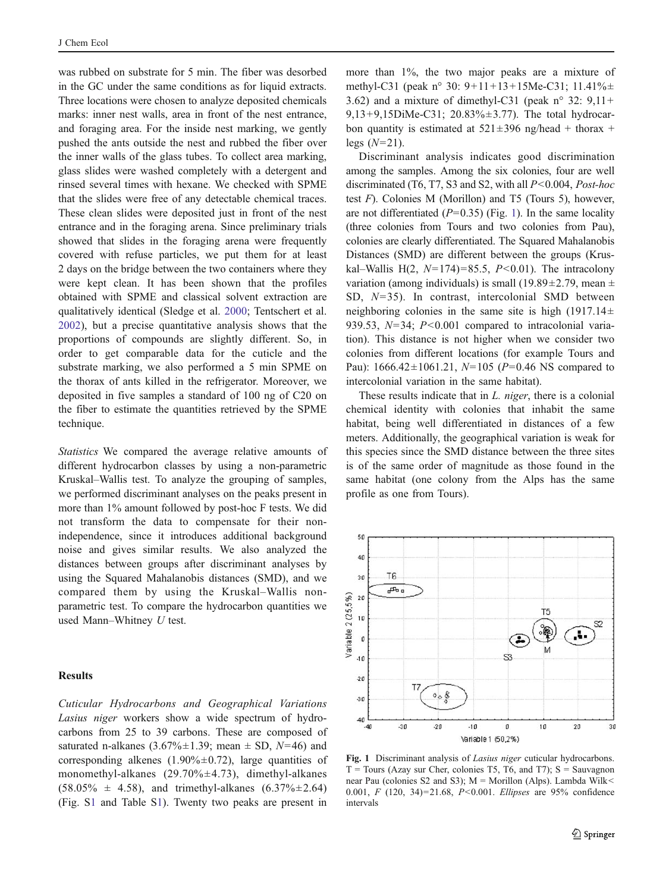<span id="page-2-0"></span>was rubbed on substrate for 5 min. The fiber was desorbed in the GC under the same conditions as for liquid extracts. Three locations were chosen to analyze deposited chemicals marks: inner nest walls, area in front of the nest entrance, and foraging area. For the inside nest marking, we gently pushed the ants outside the nest and rubbed the fiber over the inner walls of the glass tubes. To collect area marking, glass slides were washed completely with a detergent and rinsed several times with hexane. We checked with SPME that the slides were free of any detectable chemical traces. These clean slides were deposited just in front of the nest entrance and in the foraging arena. Since preliminary trials showed that slides in the foraging arena were frequently covered with refuse particles, we put them for at least 2 days on the bridge between the two containers where they were kept clean. It has been shown that the profiles obtained with SPME and classical solvent extraction are qualitatively identical (Sledge et al. [2000](#page-8-0); Tentschert et al. [2002\)](#page-8-0), but a precise quantitative analysis shows that the proportions of compounds are slightly different. So, in order to get comparable data for the cuticle and the substrate marking, we also performed a 5 min SPME on the thorax of ants killed in the refrigerator. Moreover, we deposited in five samples a standard of 100 ng of C20 on the fiber to estimate the quantities retrieved by the SPME technique.

Statistics We compared the average relative amounts of different hydrocarbon classes by using a non-parametric Kruskal–Wallis test. To analyze the grouping of samples, we performed discriminant analyses on the peaks present in more than 1% amount followed by post-hoc F tests. We did not transform the data to compensate for their nonindependence, since it introduces additional background noise and gives similar results. We also analyzed the distances between groups after discriminant analyses by using the Squared Mahalanobis distances (SMD), and we compared them by using the Kruskal–Wallis nonparametric test. To compare the hydrocarbon quantities we used Mann–Whitney  $U$  test.

#### Results

Cuticular Hydrocarbons and Geographical Variations Lasius niger workers show a wide spectrum of hydrocarbons from 25 to 39 carbons. These are composed of saturated n-alkanes (3.67% $\pm$ 1.39; mean  $\pm$  SD, N=46) and corresponding alkenes  $(1.90\% \pm 0.72)$ , large quantities of monomethyl-alkanes (29.70%±4.73), dimethyl-alkanes  $(58.05\% \pm 4.58)$ , and trimethyl-alkanes  $(6.37\% \pm 2.64)$ (Fig. S1 and Table S1). Twenty two peaks are present in

more than 1%, the two major peaks are a mixture of methyl-C31 (peak n° 30: 9+11+13+15Me-C31; 11.41% $\pm$ 3.62) and a mixture of dimethyl-C31 (peak  $n^{\circ}$  32: 9,11+ 9,13+9,15DiMe-C31; 20.83%±3.77). The total hydrocarbon quantity is estimated at  $521 \pm 396$  ng/head + thorax + legs  $(N=21)$ .

Discriminant analysis indicates good discrimination among the samples. Among the six colonies, four are well discriminated (T6, T7, S3 and S2, with all  $P < 0.004$ , Post-hoc test F). Colonies M (Morillon) and T5 (Tours 5), however, are not differentiated  $(P=0.35)$  (Fig. 1). In the same locality (three colonies from Tours and two colonies from Pau), colonies are clearly differentiated. The Squared Mahalanobis Distances (SMD) are different between the groups (Kruskal–Wallis H(2,  $N=174$ )=85.5,  $P<0.01$ ). The intracolony variation (among individuals) is small (19.89 $\pm$ 2.79, mean  $\pm$ SD, N=35). In contrast, intercolonial SMD between neighboring colonies in the same site is high  $(1917.14 \pm$ 939.53,  $N=34$ ;  $P<0.001$  compared to intracolonial variation). This distance is not higher when we consider two colonies from different locations (for example Tours and Pau):  $1666.42 \pm 1061.21$ ,  $N=105$  (P=0.46 NS compared to intercolonial variation in the same habitat).

These results indicate that in L. niger, there is a colonial chemical identity with colonies that inhabit the same habitat, being well differentiated in distances of a few meters. Additionally, the geographical variation is weak for this species since the SMD distance between the three sites is of the same order of magnitude as those found in the same habitat (one colony from the Alps has the same profile as one from Tours).



Fig. 1 Discriminant analysis of Lasius niger cuticular hydrocarbons.  $T =$  Tours (Azay sur Cher, colonies T5, T6, and T7); S = Sauvagnon near Pau (colonies S2 and S3); M = Morillon (Alps). Lambda Wilk< 0.001, F (120, 34)=21.68, P<0.001. Ellipses are 95% confidence intervals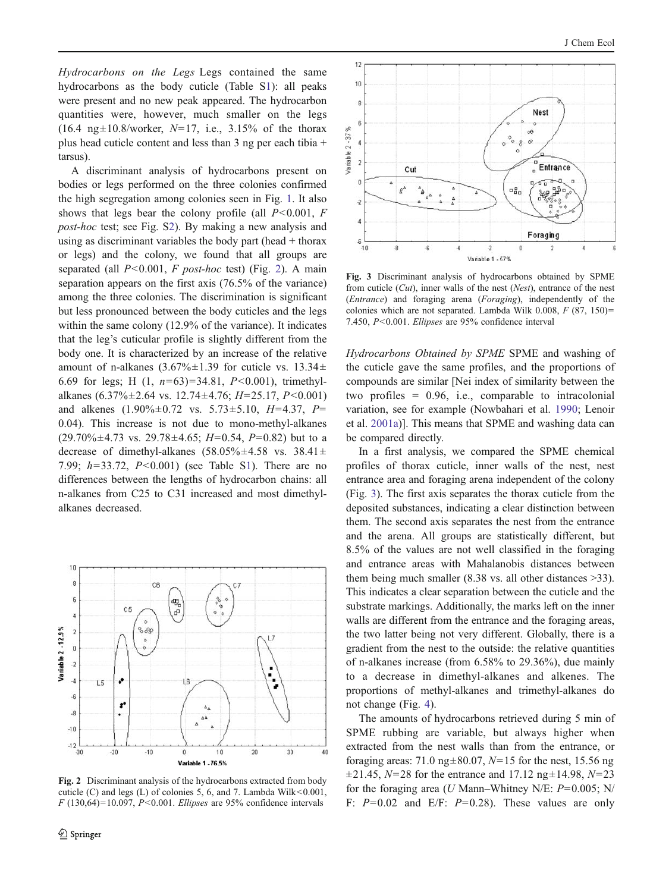Hydrocarbons on the Legs Legs contained the same hydrocarbons as the body cuticle (Table S1): all peaks were present and no new peak appeared. The hydrocarbon quantities were, however, much smaller on the legs  $(16.4 \text{ ng} \pm 10.8/\text{worker}, N=17, i.e., 3.15\% \text{ of the thorax}$ plus head cuticle content and less than 3 ng per each tibia + tarsus).

A discriminant analysis of hydrocarbons present on bodies or legs performed on the three colonies confirmed the high segregation among colonies seen in Fig. [1.](#page-2-0) It also shows that legs bear the colony profile (all  $P<0.001$ , F post-hoc test; see Fig. S2). By making a new analysis and using as discriminant variables the body part (head  $+$  thorax or legs) and the colony, we found that all groups are separated (all  $P<0.001$ , F post-hoc test) (Fig. 2). A main separation appears on the first axis (76.5% of the variance) among the three colonies. The discrimination is significant but less pronounced between the body cuticles and the legs within the same colony (12.9% of the variance). It indicates that the leg's cuticular profile is slightly different from the body one. It is characterized by an increase of the relative amount of n-alkanes  $(3.67\% \pm 1.39$  for cuticle vs.  $13.34 \pm$ 6.69 for legs; H  $(1, n=63)=34.81, P<0.001$ ), trimethylalkanes (6.37% $\pm$ 2.64 vs. 12.74 $\pm$ 4.76; H=25.17, P<0.001) and alkenes  $(1.90\% \pm 0.72$  vs.  $5.73 \pm 5.10$ ,  $H=4.37$ ,  $P=$ 0.04). This increase is not due to mono-methyl-alkanes  $(29.70\% \pm 4.73 \text{ vs. } 29.78 \pm 4.65; H=0.54, P=0.82)$  but to a decrease of dimethyl-alkanes  $(58.05\% \pm 4.58 \text{ vs. } 38.41 \pm 1.5 \text{ s})$ 7.99;  $h=33.72$ ,  $P<0.001$ ) (see Table S1). There are no differences between the lengths of hydrocarbon chains: all n-alkanes from C25 to C31 increased and most dimethylalkanes decreased.



Fig. 2 Discriminant analysis of the hydrocarbons extracted from body cuticle (C) and legs (L) of colonies 5, 6, and 7. Lambda Wilk < 0.001,  $F(130,64)=10.097$ ,  $P<0.001$ . Ellipses are 95% confidence intervals



Fig. 3 Discriminant analysis of hydrocarbons obtained by SPME from cuticle (Cut), inner walls of the nest (Nest), entrance of the nest (Entrance) and foraging arena (Foraging), independently of the colonies which are not separated. Lambda Wilk  $0.008, F (87, 150) =$ 7.450, P<0.001. Ellipses are 95% confidence interval

Hydrocarbons Obtained by SPME SPME and washing of the cuticle gave the same profiles, and the proportions of compounds are similar [Nei index of similarity between the two profiles  $= 0.96$ , i.e., comparable to intracolonial variation, see for example (Nowbahari et al. [1990](#page-7-0); Lenoir et al. [2001a](#page-7-0))]. This means that SPME and washing data can be compared directly.

In a first analysis, we compared the SPME chemical profiles of thorax cuticle, inner walls of the nest, nest entrance area and foraging arena independent of the colony (Fig. 3). The first axis separates the thorax cuticle from the deposited substances, indicating a clear distinction between them. The second axis separates the nest from the entrance and the arena. All groups are statistically different, but 8.5% of the values are not well classified in the foraging and entrance areas with Mahalanobis distances between them being much smaller (8.38 vs. all other distances >33). This indicates a clear separation between the cuticle and the substrate markings. Additionally, the marks left on the inner walls are different from the entrance and the foraging areas, the two latter being not very different. Globally, there is a gradient from the nest to the outside: the relative quantities of n-alkanes increase (from 6.58% to 29.36%), due mainly to a decrease in dimethyl-alkanes and alkenes. The proportions of methyl-alkanes and trimethyl-alkanes do not change (Fig. [4](#page-4-0)).

The amounts of hydrocarbons retrieved during 5 min of SPME rubbing are variable, but always higher when extracted from the nest walls than from the entrance, or foraging areas: 71.0 ng $\pm 80.07$ ,  $N=15$  for the nest, 15.56 ng  $\pm$ 21.45, N=28 for the entrance and 17.12 ng $\pm$ 14.98, N=23 for the foraging area (*U* Mann–Whitney N/E:  $P=0.005$ ; N/ F:  $P=0.02$  and E/F:  $P=0.28$ ). These values are only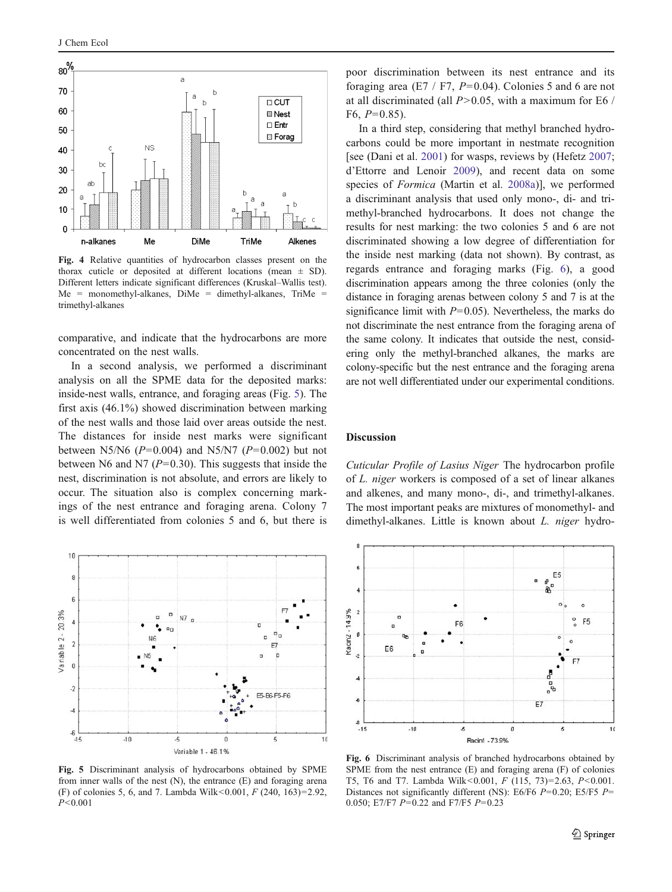<span id="page-4-0"></span>

Fig. 4 Relative quantities of hydrocarbon classes present on the thorax cuticle or deposited at different locations (mean  $\pm$  SD). Different letters indicate significant differences (Kruskal–Wallis test).  $Me$  = monomethyl-alkanes, DiMe = dimethyl-alkanes, TriMe = trimethyl-alkanes

comparative, and indicate that the hydrocarbons are more concentrated on the nest walls.

In a second analysis, we performed a discriminant analysis on all the SPME data for the deposited marks: inside-nest walls, entrance, and foraging areas (Fig. 5). The first axis (46.1%) showed discrimination between marking of the nest walls and those laid over areas outside the nest. The distances for inside nest marks were significant between N5/N6 ( $P=0.004$ ) and N5/N7 ( $P=0.002$ ) but not between N6 and N7 ( $P=0.30$ ). This suggests that inside the nest, discrimination is not absolute, and errors are likely to occur. The situation also is complex concerning markings of the nest entrance and foraging arena. Colony 7 is well differentiated from colonies 5 and 6, but there is



Fig. 5 Discriminant analysis of hydrocarbons obtained by SPME from inner walls of the nest (N), the entrance (E) and foraging arena (F) of colonies 5, 6, and 7. Lambda Wilk <  $0.001$ ,  $F(240, 163) = 2.92$ , P<0.001

poor discrimination between its nest entrance and its foraging area (E7 / F7,  $P=0.04$ ). Colonies 5 and 6 are not at all discriminated (all  $P > 0.05$ , with a maximum for E6 / F6,  $P=0.85$ ).

In a third step, considering that methyl branched hydrocarbons could be more important in nestmate recognition [see (Dani et al. [2001](#page-7-0)) for wasps, reviews by (Hefetz [2007](#page-7-0); d'Ettorre and Lenoir [2009\)](#page-7-0), and recent data on some species of Formica (Martin et al. [2008a\)](#page-7-0)], we performed a discriminant analysis that used only mono-, di- and trimethyl-branched hydrocarbons. It does not change the results for nest marking: the two colonies 5 and 6 are not discriminated showing a low degree of differentiation for the inside nest marking (data not shown). By contrast, as regards entrance and foraging marks (Fig. 6), a good discrimination appears among the three colonies (only the distance in foraging arenas between colony 5 and 7 is at the significance limit with  $P=0.05$ ). Nevertheless, the marks do not discriminate the nest entrance from the foraging arena of the same colony. It indicates that outside the nest, considering only the methyl-branched alkanes, the marks are colony-specific but the nest entrance and the foraging arena are not well differentiated under our experimental conditions.

# **Discussion**

Cuticular Profile of Lasius Niger The hydrocarbon profile of L. niger workers is composed of a set of linear alkanes and alkenes, and many mono-, di-, and trimethyl-alkanes. The most important peaks are mixtures of monomethyl- and dimethyl-alkanes. Little is known about L. niger hydro-



Fig. 6 Discriminant analysis of branched hydrocarbons obtained by SPME from the nest entrance (E) and foraging arena (F) of colonies T5, T6 and T7. Lambda Wilk < 0.001,  $F$  (115, 73) = 2.63,  $P$  < 0.001. Distances not significantly different (NS): E6/F6  $P=0.20$ ; E5/F5  $P=$ 0.050; E7/F7 P=0.22 and F7/F5 P=0.23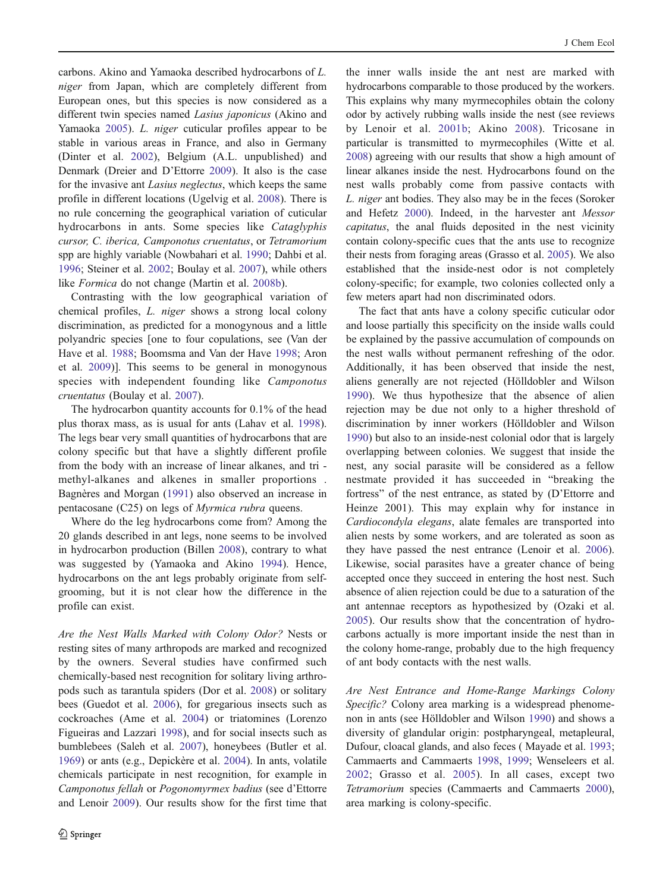carbons. Akino and Yamaoka described hydrocarbons of L. niger from Japan, which are completely different from European ones, but this species is now considered as a different twin species named Lasius japonicus (Akino and Yamaoka [2005](#page-6-0)). L. niger cuticular profiles appear to be stable in various areas in France, and also in Germany (Dinter et al. [2002](#page-7-0)), Belgium (A.L. unpublished) and Denmark (Dreier and D'Ettorre [2009\)](#page-7-0). It also is the case for the invasive ant Lasius neglectus, which keeps the same profile in different locations (Ugelvig et al. [2008](#page-8-0)). There is no rule concerning the geographical variation of cuticular hydrocarbons in ants. Some species like Cataglyphis cursor, C. iberica, Camponotus cruentatus, or Tetramorium spp are highly variable (Nowbahari et al. [1990;](#page-7-0) Dahbi et al. [1996;](#page-7-0) Steiner et al. [2002](#page-8-0); Boulay et al. [2007\)](#page-7-0), while others like Formica do not change (Martin et al. [2008b](#page-7-0)).

Contrasting with the low geographical variation of chemical profiles, L. niger shows a strong local colony discrimination, as predicted for a monogynous and a little polyandric species [one to four copulations, see (Van der Have et al. [1988;](#page-8-0) Boomsma and Van der Have [1998;](#page-7-0) Aron et al. [2009](#page-6-0))]. This seems to be general in monogynous species with independent founding like Camponotus cruentatus (Boulay et al. [2007](#page-7-0)).

The hydrocarbon quantity accounts for 0.1% of the head plus thorax mass, as is usual for ants (Lahav et al. [1998](#page-7-0)). The legs bear very small quantities of hydrocarbons that are colony specific but that have a slightly different profile from the body with an increase of linear alkanes, and tri methyl-alkanes and alkenes in smaller proportions . Bagnères and Morgan ([1991\)](#page-7-0) also observed an increase in pentacosane (C25) on legs of Myrmica rubra queens.

Where do the leg hydrocarbons come from? Among the 20 glands described in ant legs, none seems to be involved in hydrocarbon production (Billen [2008\)](#page-7-0), contrary to what was suggested by (Yamaoka and Akino [1994](#page-8-0)). Hence, hydrocarbons on the ant legs probably originate from selfgrooming, but it is not clear how the difference in the profile can exist.

Are the Nest Walls Marked with Colony Odor? Nests or resting sites of many arthropods are marked and recognized by the owners. Several studies have confirmed such chemically-based nest recognition for solitary living arthropods such as tarantula spiders (Dor et al. [2008\)](#page-7-0) or solitary bees (Guedot et al. [2006\)](#page-7-0), for gregarious insects such as cockroaches (Ame et al. [2004](#page-6-0)) or triatomines (Lorenzo Figueiras and Lazzari [1998](#page-7-0)), and for social insects such as bumblebees (Saleh et al. [2007](#page-7-0)), honeybees (Butler et al. [1969\)](#page-7-0) or ants (e.g., Depickère et al. [2004](#page-7-0)). In ants, volatile chemicals participate in nest recognition, for example in Camponotus fellah or Pogonomyrmex badius (see d'Ettorre and Lenoir [2009\)](#page-7-0). Our results show for the first time that

the inner walls inside the ant nest are marked with hydrocarbons comparable to those produced by the workers. This explains why many myrmecophiles obtain the colony odor by actively rubbing walls inside the nest (see reviews by Lenoir et al. [2001b;](#page-7-0) Akino [2008](#page-6-0)). Tricosane in particular is transmitted to myrmecophiles (Witte et al. [2008\)](#page-8-0) agreeing with our results that show a high amount of linear alkanes inside the nest. Hydrocarbons found on the nest walls probably come from passive contacts with L. niger ant bodies. They also may be in the feces (Soroker and Hefetz [2000\)](#page-8-0). Indeed, in the harvester ant Messor capitatus, the anal fluids deposited in the nest vicinity contain colony-specific cues that the ants use to recognize their nests from foraging areas (Grasso et al. [2005\)](#page-7-0). We also established that the inside-nest odor is not completely colony-specific; for example, two colonies collected only a few meters apart had non discriminated odors.

The fact that ants have a colony specific cuticular odor and loose partially this specificity on the inside walls could be explained by the passive accumulation of compounds on the nest walls without permanent refreshing of the odor. Additionally, it has been observed that inside the nest, aliens generally are not rejected (Hölldobler and Wilson [1990\)](#page-7-0). We thus hypothesize that the absence of alien rejection may be due not only to a higher threshold of discrimination by inner workers (Hölldobler and Wilson [1990\)](#page-7-0) but also to an inside-nest colonial odor that is largely overlapping between colonies. We suggest that inside the nest, any social parasite will be considered as a fellow nestmate provided it has succeeded in "breaking the fortress" of the nest entrance, as stated by (D'Ettorre and Heinze 2001). This may explain why for instance in Cardiocondyla elegans, alate females are transported into alien nests by some workers, and are tolerated as soon as they have passed the nest entrance (Lenoir et al. [2006](#page-7-0)). Likewise, social parasites have a greater chance of being accepted once they succeed in entering the host nest. Such absence of alien rejection could be due to a saturation of the ant antennae receptors as hypothesized by (Ozaki et al. [2005\)](#page-7-0). Our results show that the concentration of hydrocarbons actually is more important inside the nest than in the colony home-range, probably due to the high frequency of ant body contacts with the nest walls.

Are Nest Entrance and Home-Range Markings Colony Specific? Colony area marking is a widespread phenomenon in ants (see Hölldobler and Wilson [1990\)](#page-7-0) and shows a diversity of glandular origin: postpharyngeal, metapleural, Dufour, cloacal glands, and also feces ( Mayade et al. [1993](#page-7-0); Cammaerts and Cammaerts [1998,](#page-7-0) [1999](#page-7-0); Wenseleers et al. [2002](#page-8-0); Grasso et al. [2005](#page-7-0)). In all cases, except two Tetramorium species (Cammaerts and Cammaerts [2000](#page-7-0)), area marking is colony-specific.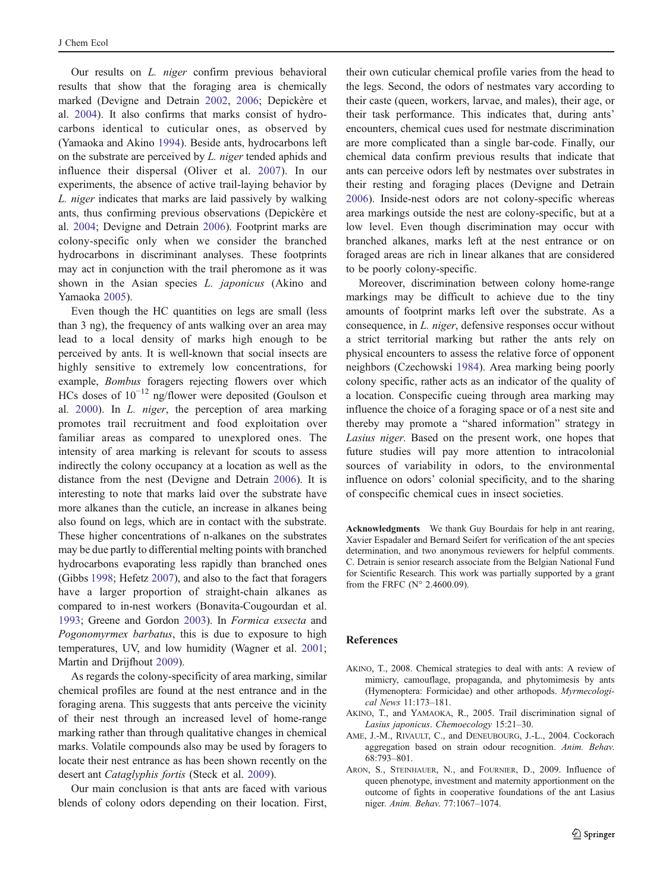<span id="page-6-0"></span>Our results on L. niger confirm previous behavioral results that show that the foraging area is chemically marked (Devigne and Detrain [2002,](#page-7-0) [2006](#page-7-0); Depickère et al. [2004](#page-7-0)). It also confirms that marks consist of hydrocarbons identical to cuticular ones, as observed by (Yamaoka and Akino [1994\)](#page-8-0). Beside ants, hydrocarbons left on the substrate are perceived by L. niger tended aphids and influence their dispersal (Oliver et al. [2007](#page-7-0)). In our experiments, the absence of active trail-laying behavior by L. niger indicates that marks are laid passively by walking ants, thus confirming previous observations (Depickère et al. [2004;](#page-7-0) Devigne and Detrain [2006\)](#page-7-0). Footprint marks are colony-specific only when we consider the branched hydrocarbons in discriminant analyses. These footprints may act in conjunction with the trail pheromone as it was shown in the Asian species L. japonicus (Akino and Yamaoka 2005).

Even though the HC quantities on legs are small (less than 3 ng), the frequency of ants walking over an area may lead to a local density of marks high enough to be perceived by ants. It is well-known that social insects are highly sensitive to extremely low concentrations, for example, Bombus foragers rejecting flowers over which HCs doses of 10*−*<sup>12</sup> ng/flower were deposited (Goulson et al. [2000\)](#page-7-0). In L. niger, the perception of area marking promotes trail recruitment and food exploitation over familiar areas as compared to unexplored ones. The intensity of area marking is relevant for scouts to assess indirectly the colony occupancy at a location as well as the distance from the nest (Devigne and Detrain [2006\)](#page-7-0). It is interesting to note that marks laid over the substrate have more alkanes than the cuticle, an increase in alkanes being also found on legs, which are in contact with the substrate. These higher concentrations of n-alkanes on the substrates may be due partly to differential melting points with branched hydrocarbons evaporating less rapidly than branched ones (Gibbs [1998](#page-7-0); Hefetz [2007](#page-7-0)), and also to the fact that foragers have a larger proportion of straight-chain alkanes as compared to in-nest workers (Bonavita-Cougourdan et al. [1993](#page-7-0); Greene and Gordon [2003\)](#page-7-0). In Formica exsecta and Pogonomyrmex barbatus, this is due to exposure to high temperatures, UV, and low humidity (Wagner et al. [2001](#page-8-0); Martin and Drijfhout [2009](#page-7-0)).

As regards the colony-specificity of area marking, similar chemical profiles are found at the nest entrance and in the foraging arena. This suggests that ants perceive the vicinity of their nest through an increased level of home-range marking rather than through qualitative changes in chemical marks. Volatile compounds also may be used by foragers to locate their nest entrance as has been shown recently on the desert ant Cataglyphis fortis (Steck et al. [2009\)](#page-8-0).

Our main conclusion is that ants are faced with various blends of colony odors depending on their location. First,

their own cuticular chemical profile varies from the head to the legs. Second, the odors of nestmates vary according to their caste (queen, workers, larvae, and males), their age, or their task performance. This indicates that, during ants' encounters, chemical cues used for nestmate discrimination are more complicated than a single bar-code. Finally, our chemical data confirm previous results that indicate that ants can perceive odors left by nestmates over substrates in their resting and foraging places (Devigne and Detrain [2006\)](#page-7-0). Inside-nest odors are not colony-specific whereas area markings outside the nest are colony-specific, but at a low level. Even though discrimination may occur with branched alkanes, marks left at the nest entrance or on foraged areas are rich in linear alkanes that are considered to be poorly colony-specific.

Moreover, discrimination between colony home-range markings may be difficult to achieve due to the tiny amounts of footprint marks left over the substrate. As a consequence, in L. niger, defensive responses occur without a strict territorial marking but rather the ants rely on physical encounters to assess the relative force of opponent neighbors (Czechowski [1984\)](#page-7-0). Area marking being poorly colony specific, rather acts as an indicator of the quality of a location. Conspecific cueing through area marking may influence the choice of a foraging space or of a nest site and thereby may promote a "shared information" strategy in Lasius niger. Based on the present work, one hopes that future studies will pay more attention to intracolonial sources of variability in odors, to the environmental influence on odors' colonial specificity, and to the sharing of conspecific chemical cues in insect societies.

Acknowledgments We thank Guy Bourdais for help in ant rearing, Xavier Espadaler and Bernard Seifert for verification of the ant species determination, and two anonymous reviewers for helpful comments. C. Detrain is senior research associate from the Belgian National Fund for Scientific Research. This work was partially supported by a grant from the FRFC (N° 2.4600.09).

# References

- AKINO, T., 2008. Chemical strategies to deal with ants: A review of mimicry, camouflage, propaganda, and phytomimesis by ants (Hymenoptera: Formicidae) and other arthopods. Myrmecological News 11:173–181.
- AKINO, T., and YAMAOKA, R., 2005. Trail discrimination signal of Lasius japonicus. Chemoecology 15:21–30.
- AME, J.-M., RIVAULT, C., and DENEUBOURG, J.-L., 2004. Cockorach aggregation based on strain odour recognition. Anim. Behav. 68:793–801.
- ARON, S., STEINHAUER, N., and FOURNIER, D., 2009. Influence of queen phenotype, investment and maternity apportionment on the outcome of fights in cooperative foundations of the ant Lasius niger. Anim. Behav. 77:1067–1074.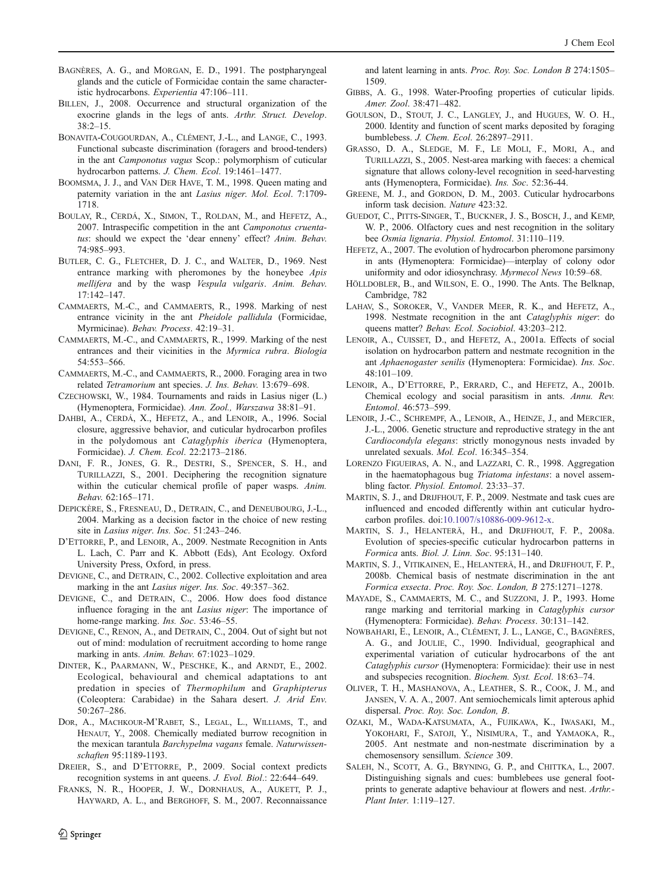- <span id="page-7-0"></span>BILLEN, J., 2008. Occurrence and structural organization of the exocrine glands in the legs of ants. Arthr. Struct. Develop. 38:2–15.
- BONAVITA-COUGOURDAN, A., CLÉMENT, J.-L., and LANGE, C., 1993. Functional subcaste discrimination (foragers and brood-tenders) in the ant Camponotus vagus Scop.: polymorphism of cuticular hydrocarbon patterns. J. Chem. Ecol. 19:1461–1477.
- BOOMSMA, J. J., and VAN DER HAVE, T. M., 1998. Queen mating and paternity variation in the ant Lasius niger. Mol. Ecol. 7:1709- 1718.
- BOULAY, R., CERDÁ, X., SIMON, T., ROLDAN, M., and HEFETZ, A., 2007. Intraspecific competition in the ant Camponotus cruentatus: should we expect the 'dear enneny' effect? Anim. Behav. 74:985–993.
- BUTLER, C. G., FLETCHER, D. J. C., and WALTER, D., 1969. Nest entrance marking with pheromones by the honeybee Apis mellifera and by the wasp Vespula vulgaris. Anim. Behav. 17:142–147.
- CAMMAERTS, M.-C., and CAMMAERTS, R., 1998. Marking of nest entrance vicinity in the ant Pheidole pallidula (Formicidae, Myrmicinae). Behav. Process. 42:19–31.
- CAMMAERTS, M.-C., and CAMMAERTS, R., 1999. Marking of the nest entrances and their vicinities in the Myrmica rubra. Biologia 54:553–566.
- CAMMAERTS, M.-C., and CAMMAERTS, R., 2000. Foraging area in two related Tetramorium ant species. J. Ins. Behav. 13:679–698.
- CZECHOWSKI, W., 1984. Tournaments and raids in Lasius niger (L.) (Hymenoptera, Formicidae). Ann. Zool., Warszawa 38:81–91.
- DAHBI, A., CERDÁ, X., HEFETZ, A., and LENOIR, A., 1996. Social closure, aggressive behavior, and cuticular hydrocarbon profiles in the polydomous ant Cataglyphis iberica (Hymenoptera, Formicidae). J. Chem. Ecol. 22:2173–2186.
- DANI, F. R., JONES, G. R., DESTRI, S., SPENCER, S. H., and TURILLAZZI, S., 2001. Deciphering the recognition signature within the cuticular chemical profile of paper wasps. Anim. Behav. 62:165–171.
- DEPICKÈRE, S., FRESNEAU, D., DETRAIN, C., and DENEUBOURG, J.-L., 2004. Marking as a decision factor in the choice of new resting site in Lasius niger. Ins. Soc. 51:243–246.
- D'ETTORRE, P., and LENOIR, A., 2009. Nestmate Recognition in Ants L. Lach, C. Parr and K. Abbott (Eds), Ant Ecology. Oxford University Press, Oxford, in press.
- DEVIGNE, C., and DETRAIN, C., 2002. Collective exploitation and area marking in the ant *Lasius niger. Ins. Soc.* 49:357–362.
- DEVIGNE, C., and DETRAIN, C., 2006. How does food distance influence foraging in the ant Lasius niger: The importance of home-range marking. Ins. Soc. 53:46-55.
- DEVIGNE, C., RENON, A., and DETRAIN, C., 2004. Out of sight but not out of mind: modulation of recruitment according to home range marking in ants. Anim. Behav. 67:1023–1029.
- DINTER, K., PAARMANN, W., PESCHKE, K., and ARNDT, E., 2002. Ecological, behavioural and chemical adaptations to ant predation in species of Thermophilum and Graphipterus (Coleoptera: Carabidae) in the Sahara desert. J. Arid Env. 50:267–286.
- DOR, A., MACHKOUR-M'RABET, S., LEGAL, L., WILLIAMS, T., and HENAUT, Y., 2008. Chemically mediated burrow recognition in the mexican tarantula Barchypelma vagans female. Naturwissenschaften 95:1189-1193.
- DREIER, S., and D'ETTORRE, P., 2009. Social context predicts recognition systems in ant queens. J. Evol. Biol.: 22:644–649.
- FRANKS, N. R., HOOPER, J. W., DORNHAUS, A., AUKETT, P. J., HAYWARD, A. L., and BERGHOFF, S. M., 2007. Reconnaissance

and latent learning in ants. Proc. Roy. Soc. London B 274:1505– 1509.

- GIBBS, A. G., 1998. Water-Proofing properties of cuticular lipids. Amer. Zool. 38:471–482.
- GOULSON, D., STOUT, J. C., LANGLEY, J., and HUGUES, W. O. H., 2000. Identity and function of scent marks deposited by foraging bumblebess. J. Chem. Ecol. 26:2897–2911.
- GRASSO, D. A., SLEDGE, M. F., LE MOLI, F., MORI, A., and TURILLAZZI, S., 2005. Nest-area marking with faeces: a chemical signature that allows colony-level recognition in seed-harvesting ants (Hymenoptera, Formicidae). Ins. Soc. 52:36-44.
- GREENE, M. J., and GORDON, D. M., 2003. Cuticular hydrocarbons inform task decision. Nature 423:32.
- GUEDOT, C., PITTS-SINGER, T., BUCKNER, J. S., BOSCH, J., and KEMP, W. P., 2006. Olfactory cues and nest recognition in the solitary bee Osmia lignaria. Physiol. Entomol. 31:110–119.
- HEFETZ, A., 2007. The evolution of hydrocarbon pheromone parsimony in ants (Hymenoptera: Formicidae)—interplay of colony odor uniformity and odor idiosynchrasy. Myrmecol News 10:59–68.
- HÖLLDOBLER, B., and WILSON, E. O., 1990. The Ants. The Belknap, Cambridge, 782
- LAHAV, S., SOROKER, V., VANDER MEER, R. K., and HEFETZ, A., 1998. Nestmate recognition in the ant Cataglyphis niger: do queens matter? Behav. Ecol. Sociobiol. 43:203–212.
- LENOIR, A., CUISSET, D., and HEFETZ, A., 2001a. Effects of social isolation on hydrocarbon pattern and nestmate recognition in the ant Aphaenogaster senilis (Hymenoptera: Formicidae). Ins. Soc. 48:101–109.
- LENOIR, A., D'ETTORRE, P., ERRARD, C., and HEFETZ, A., 2001b. Chemical ecology and social parasitism in ants. Annu. Rev. Entomol. 46:573–599.
- LENOIR, J.-C., SCHREMPF, A., LENOIR, A., HEINZE, J., and MERCIER, J.-L., 2006. Genetic structure and reproductive strategy in the ant Cardiocondyla elegans: strictly monogynous nests invaded by unrelated sexuals. Mol. Ecol. 16:345–354.
- LORENZO FIGUEIRAS, A. N., and LAZZARI, C. R., 1998. Aggregation in the haematophagous bug Triatoma infestans: a novel assembling factor. Physiol. Entomol. 23:33–37.
- MARTIN, S. J., and DRIJFHOUT, F. P., 2009. Nestmate and task cues are influenced and encoded differently within ant cuticular hydrocarbon profiles. doi:[10.1007/s10886-009-9612-x](http://dx.doi.org/10.1007/s10886-009-9612-x).
- MARTIN, S. J., HELANTERÄ, H., and DRIJFHOUT, F. P., 2008a. Evolution of species-specific cuticular hydrocarbon patterns in Formica ants. Biol. J. Linn. Soc. 95:131–140.
- MARTIN, S. J., VITIKAINEN, E., HELANTERÄ, H., and DRIJFHOUT, F. P., 2008b. Chemical basis of nestmate discrimination in the ant Formica exsecta. Proc. Roy. Soc. London, B 275:1271–1278.
- MAYADE, S., CAMMAERTS, M. C., and SUZZONI, J. P., 1993. Home range marking and territorial marking in Cataglyphis cursor (Hymenoptera: Formicidae). Behav. Process. 30:131–142.
- NOWBAHARI, E., LENOIR, A., CLÉMENT, J. L., LANGE, C., BAGNÈRES, A. G., and JOULIE, C., 1990. Individual, geographical and experimental variation of cuticular hydrocarbons of the ant Cataglyphis cursor (Hymenoptera: Formicidae): their use in nest and subspecies recognition. Biochem. Syst. Ecol. 18:63–74.
- OLIVER, T. H., MASHANOVA, A., LEATHER, S. R., COOK, J. M., and JANSEN, V. A. A., 2007. Ant semiochemicals limit apterous aphid dispersal. Proc. Roy. Soc. London, B.
- OZAKI, M., WADA-KATSUMATA, A., FUJIKAWA, K., IWASAKI, M., YOKOHARI, F., SATOJI, Y., NISIMURA, T., and YAMAOKA, R., 2005. Ant nestmate and non-nestmate discrimination by a chemosensory sensillum. Science 309.
- SALEH, N., SCOTT, A. G., BRYNING, G. P., and CHITTKA, L., 2007. Distinguishing signals and cues: bumblebees use general footprints to generate adaptive behaviour at flowers and nest. Arthr.- Plant Inter. 1:119–127.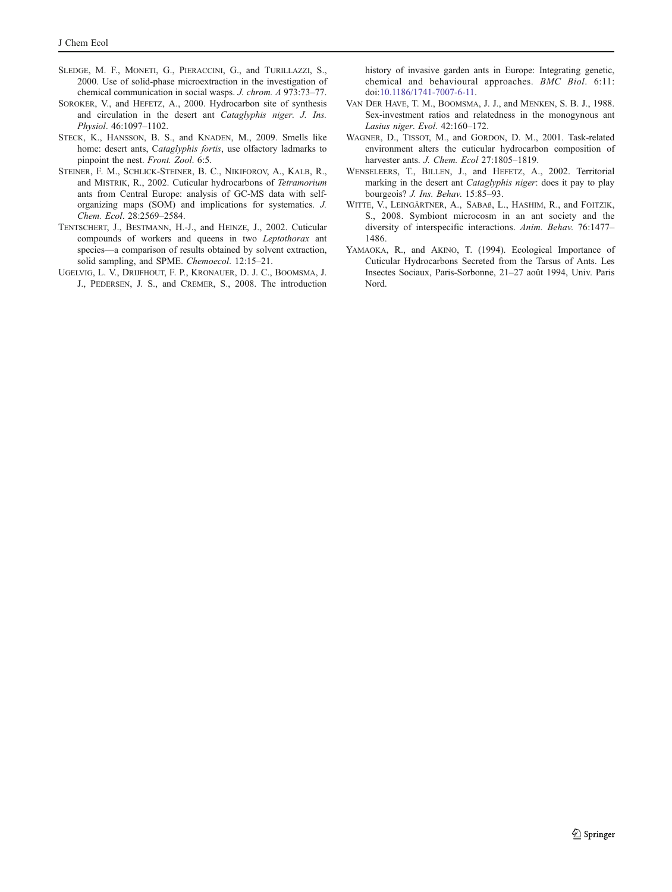- <span id="page-8-0"></span>SLEDGE, M. F., MONETI, G., PIERACCINI, G., and TURILLAZZI, S., 2000. Use of solid-phase microextraction in the investigation of chemical communication in social wasps. J. chrom. A 973:73–77.
- SOROKER, V., and HEFETZ, A., 2000. Hydrocarbon site of synthesis and circulation in the desert ant Cataglyphis niger. J. Ins. Physiol. 46:1097–1102.
- STECK, K., HANSSON, B. S., and KNADEN, M., 2009. Smells like home: desert ants, Cataglyphis fortis, use olfactory ladmarks to pinpoint the nest. Front. Zool. 6:5.
- STEINER, F. M., SCHLICK-STEINER, B. C., NIKIFOROV, A., KALB, R., and MISTRIK, R., 2002. Cuticular hydrocarbons of Tetramorium ants from Central Europe: analysis of GC-MS data with selforganizing maps (SOM) and implications for systematics. J. Chem. Ecol. 28:2569–2584.
- TENTSCHERT, J., BESTMANN, H.-J., and HEINZE, J., 2002. Cuticular compounds of workers and queens in two Leptothorax ant species—a comparison of results obtained by solvent extraction, solid sampling, and SPME. Chemoecol. 12:15–21.
- UGELVIG, L. V., DRIJFHOUT, F. P., KRONAUER, D. J. C., BOOMSMA, J. J., PEDERSEN, J. S., and CREMER, S., 2008. The introduction

history of invasive garden ants in Europe: Integrating genetic, chemical and behavioural approaches. BMC Biol. 6:11: doi:[10.1186/1741-7007-6-11.](http://dx.doi.org/10.1186/1741-7007-6-11)

- VAN DER HAVE, T. M., BOOMSMA, J. J., and MENKEN, S. B. J., 1988. Sex-investment ratios and relatedness in the monogynous ant Lasius niger. Evol. 42:160–172.
- WAGNER, D., TISSOT, M., and GORDON, D. M., 2001. Task-related environment alters the cuticular hydrocarbon composition of harvester ants. J. Chem. Ecol 27:1805-1819.
- WENSELEERS, T., BILLEN, J., and HEFETZ, A., 2002. Territorial marking in the desert ant Cataglyphis niger: does it pay to play bourgeois? J. Ins. Behav. 15:85–93.
- WITTE, V., LEINGÄRTNER, A., SABAß, L., HASHIM, R., and FOITZIK, S., 2008. Symbiont microcosm in an ant society and the diversity of interspecific interactions. Anim. Behav. 76:1477– 1486.
- YAMAOKA, R., and AKINO, T. (1994). Ecological Importance of Cuticular Hydrocarbons Secreted from the Tarsus of Ants. Les Insectes Sociaux, Paris-Sorbonne, 21–27 août 1994, Univ. Paris Nord.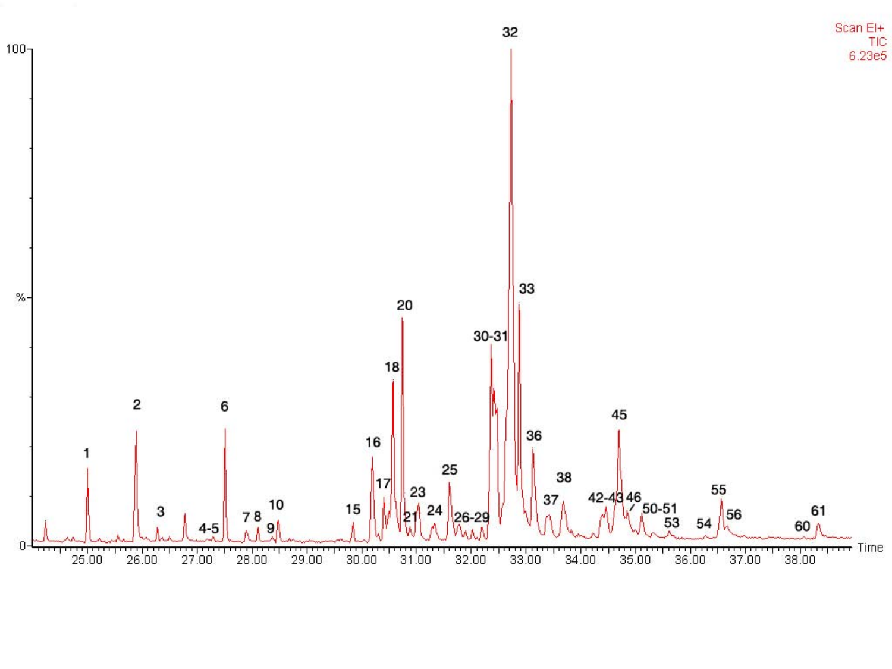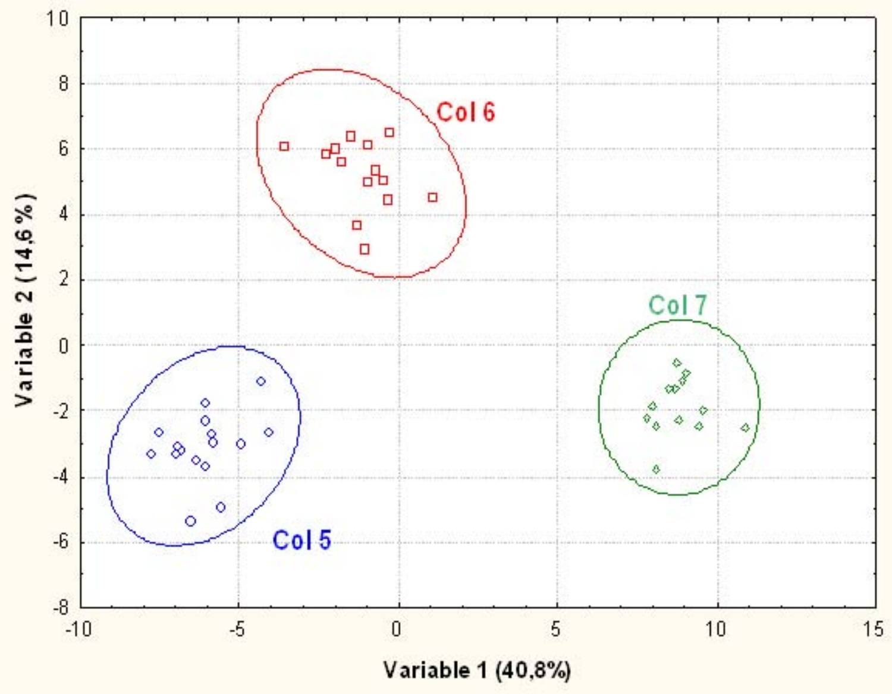